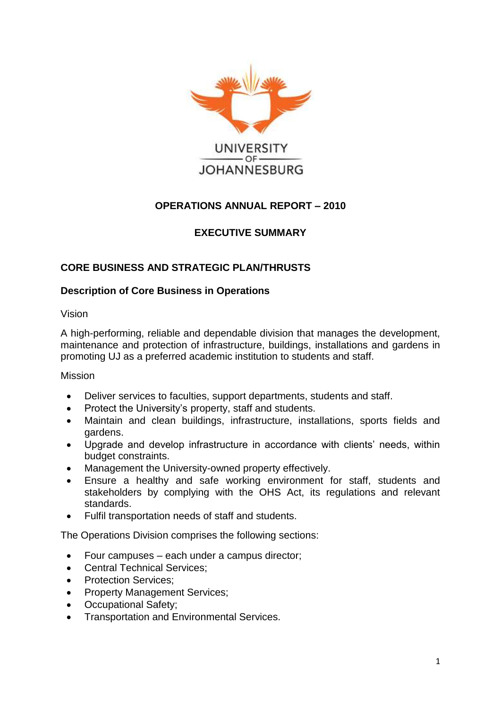

# **OPERATIONS ANNUAL REPORT – 2010**

# **EXECUTIVE SUMMARY**

# **CORE BUSINESS AND STRATEGIC PLAN/THRUSTS**

## **Description of Core Business in Operations**

Vision

A high-performing, reliable and dependable division that manages the development, maintenance and protection of infrastructure, buildings, installations and gardens in promoting UJ as a preferred academic institution to students and staff.

Mission

- Deliver services to faculties, support departments, students and staff.
- Protect the University's property, staff and students.
- Maintain and clean buildings, infrastructure, installations, sports fields and gardens.
- Upgrade and develop infrastructure in accordance with clients' needs, within budget constraints.
- Management the University-owned property effectively.
- Ensure a healthy and safe working environment for staff, students and stakeholders by complying with the OHS Act, its regulations and relevant standards.
- Fulfil transportation needs of staff and students.

The Operations Division comprises the following sections:

- Four campuses each under a campus director;
- Central Technical Services:
- Protection Services;
- Property Management Services;
- Occupational Safety;
- Transportation and Environmental Services.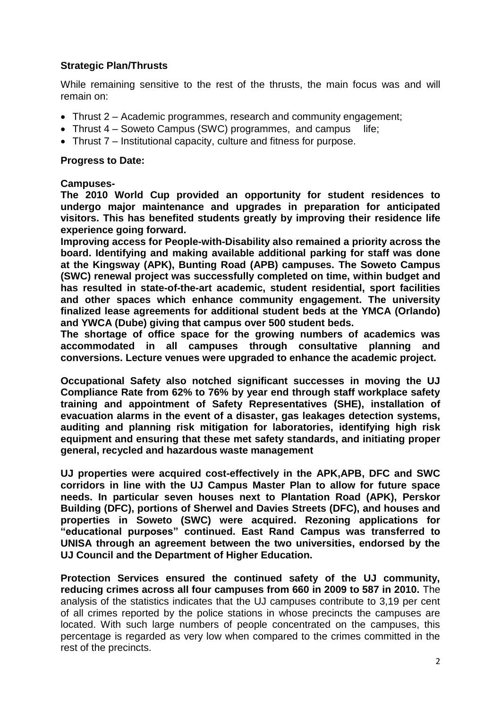## **Strategic Plan/Thrusts**

While remaining sensitive to the rest of the thrusts, the main focus was and will remain on:

- Thrust 2 Academic programmes, research and community engagement;
- Thrust 4 Soweto Campus (SWC) programmes, and campus life;
- Thrust 7 Institutional capacity, culture and fitness for purpose.

#### **Progress to Date:**

#### **Campuses-**

**The 2010 World Cup provided an opportunity for student residences to undergo major maintenance and upgrades in preparation for anticipated visitors. This has benefited students greatly by improving their residence life experience going forward.**

**Improving access for People-with-Disability also remained a priority across the board. Identifying and making available additional parking for staff was done at the Kingsway (APK), Bunting Road (APB) campuses. The Soweto Campus (SWC) renewal project was successfully completed on time, within budget and has resulted in state-of-the-art academic, student residential, sport facilities and other spaces which enhance community engagement. The university finalized lease agreements for additional student beds at the YMCA (Orlando) and YWCA (Dube) giving that campus over 500 student beds.**

**The shortage of office space for the growing numbers of academics was accommodated in all campuses through consultative planning and conversions. Lecture venues were upgraded to enhance the academic project.**

**Occupational Safety also notched significant successes in moving the UJ Compliance Rate from 62% to 76% by year end through staff workplace safety training and appointment of Safety Representatives (SHE), installation of evacuation alarms in the event of a disaster, gas leakages detection systems, auditing and planning risk mitigation for laboratories, identifying high risk equipment and ensuring that these met safety standards, and initiating proper general, recycled and hazardous waste management**

**UJ properties were acquired cost-effectively in the APK,APB, DFC and SWC corridors in line with the UJ Campus Master Plan to allow for future space needs. In particular seven houses next to Plantation Road (APK), Perskor Building (DFC), portions of Sherwel and Davies Streets (DFC), and houses and properties in Soweto (SWC) were acquired. Rezoning applications for "educational purposes" continued. East Rand Campus was transferred to UNISA through an agreement between the two universities, endorsed by the UJ Council and the Department of Higher Education.** 

**Protection Services ensured the continued safety of the UJ community, reducing crimes across all four campuses from 660 in 2009 to 587 in 2010.** The analysis of the statistics indicates that the UJ campuses contribute to 3,19 per cent of all crimes reported by the police stations in whose precincts the campuses are located. With such large numbers of people concentrated on the campuses, this percentage is regarded as very low when compared to the crimes committed in the rest of the precincts.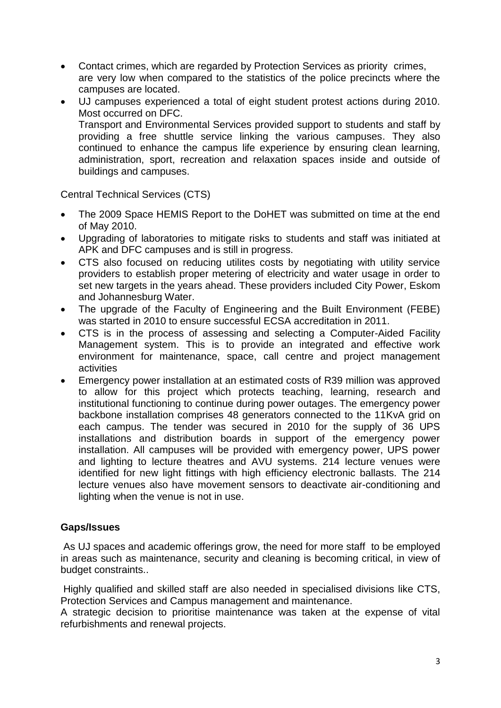- Contact crimes, which are regarded by Protection Services as priority crimes, are very low when compared to the statistics of the police precincts where the campuses are located.
- UJ campuses experienced a total of eight student protest actions during 2010. Most occurred on DFC. Transport and Environmental Services provided support to students and staff by providing a free shuttle service linking the various campuses. They also continued to enhance the campus life experience by ensuring clean learning, administration, sport, recreation and relaxation spaces inside and outside of buildings and campuses.

Central Technical Services (CTS)

- The 2009 Space HEMIS Report to the DoHET was submitted on time at the end of May 2010.
- Upgrading of laboratories to mitigate risks to students and staff was initiated at APK and DFC campuses and is still in progress.
- CTS also focused on reducing utilites costs by negotiating with utility service providers to establish proper metering of electricity and water usage in order to set new targets in the years ahead. These providers included City Power, Eskom and Johannesburg Water.
- The upgrade of the Faculty of Engineering and the Built Environment (FEBE) was started in 2010 to ensure successful ECSA accreditation in 2011.
- CTS is in the process of assessing and selecting a Computer-Aided Facility Management system. This is to provide an integrated and effective work environment for maintenance, space, call centre and project management activities
- Emergency power installation at an estimated costs of R39 million was approved to allow for this project which protects teaching, learning, research and institutional functioning to continue during power outages. The emergency power backbone installation comprises 48 generators connected to the 11KvA grid on each campus. The tender was secured in 2010 for the supply of 36 UPS installations and distribution boards in support of the emergency power installation. All campuses will be provided with emergency power, UPS power and lighting to lecture theatres and AVU systems. 214 lecture venues were identified for new light fittings with high efficiency electronic ballasts. The 214 lecture venues also have movement sensors to deactivate air-conditioning and lighting when the venue is not in use.

## **Gaps/Issues**

As UJ spaces and academic offerings grow, the need for more staff to be employed in areas such as maintenance, security and cleaning is becoming critical, in view of budget constraints..

Highly qualified and skilled staff are also needed in specialised divisions like CTS, Protection Services and Campus management and maintenance.

A strategic decision to prioritise maintenance was taken at the expense of vital refurbishments and renewal projects.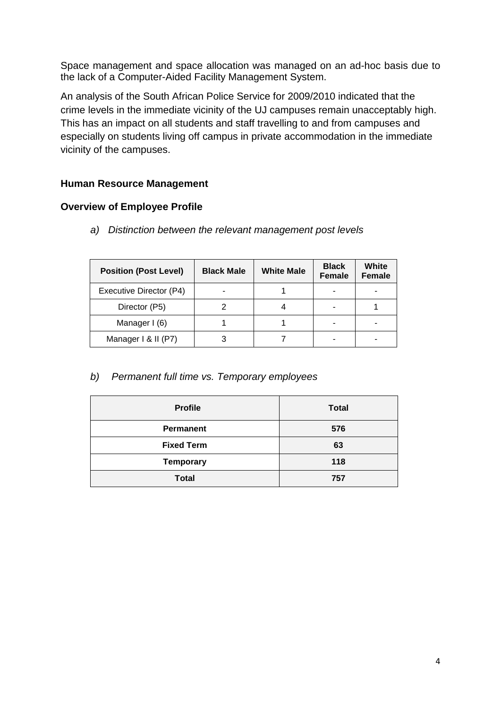Space management and space allocation was managed on an ad-hoc basis due to the lack of a Computer-Aided Facility Management System.

An analysis of the South African Police Service for 2009/2010 indicated that the crime levels in the immediate vicinity of the UJ campuses remain unacceptably high. This has an impact on all students and staff travelling to and from campuses and especially on students living off campus in private accommodation in the immediate vicinity of the campuses.

## **Human Resource Management**

## **Overview of Employee Profile**

*a) Distinction between the relevant management post levels*

| <b>Position (Post Level)</b> | <b>Black Male</b> | <b>White Male</b> | <b>Black</b><br><b>Female</b> | White<br><b>Female</b> |
|------------------------------|-------------------|-------------------|-------------------------------|------------------------|
| Executive Director (P4)      |                   |                   |                               |                        |
| Director (P5)                |                   |                   |                               |                        |
| Manager I (6)                |                   |                   |                               |                        |
| Manager I & II (P7)          |                   |                   |                               |                        |

## *b) Permanent full time vs. Temporary employees*

| <b>Profile</b>    | <b>Total</b> |
|-------------------|--------------|
| <b>Permanent</b>  | 576          |
| <b>Fixed Term</b> | 63           |
| <b>Temporary</b>  | 118          |
| <b>Total</b>      | 757          |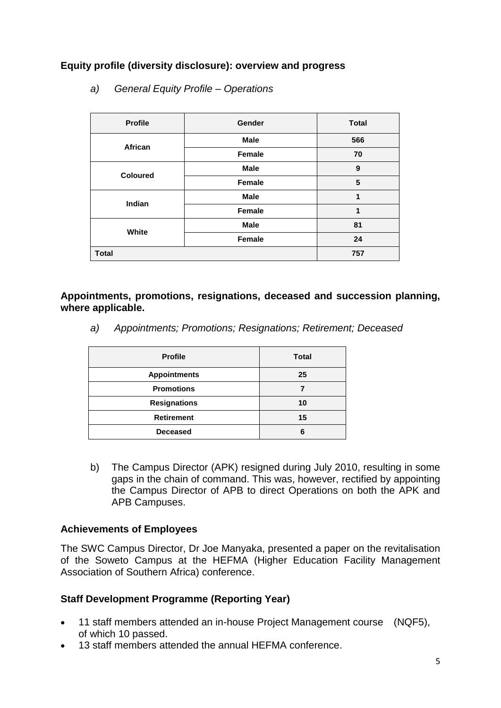# **Equity profile (diversity disclosure): overview and progress**

| <b>Profile</b>  | Gender        | <b>Total</b> |  |
|-----------------|---------------|--------------|--|
| African         | <b>Male</b>   | 566          |  |
|                 | <b>Female</b> | 70           |  |
| <b>Coloured</b> | <b>Male</b>   | 9            |  |
|                 | <b>Female</b> | $\sqrt{5}$   |  |
|                 | <b>Male</b>   | 1            |  |
| Indian          | <b>Female</b> | 1            |  |
|                 | <b>Male</b>   | 81           |  |
| White           | <b>Female</b> | 24           |  |
| <b>Total</b>    | 757           |              |  |

*a) General Equity Profile – Operations*

**Appointments, promotions, resignations, deceased and succession planning, where applicable.**

*a) Appointments; Promotions; Resignations; Retirement; Deceased*

| <b>Profile</b>      | <b>Total</b> |
|---------------------|--------------|
| <b>Appointments</b> | 25           |
| <b>Promotions</b>   |              |
| <b>Resignations</b> | 10           |
| <b>Retirement</b>   | 15           |
| <b>Deceased</b>     |              |

b) The Campus Director (APK) resigned during July 2010, resulting in some gaps in the chain of command. This was, however, rectified by appointing the Campus Director of APB to direct Operations on both the APK and APB Campuses.

#### **Achievements of Employees**

The SWC Campus Director, Dr Joe Manyaka, presented a paper on the revitalisation of the Soweto Campus at the HEFMA (Higher Education Facility Management Association of Southern Africa) conference.

## **Staff Development Programme (Reporting Year)**

- 11 staff members attended an in-house Project Management course (NQF5), of which 10 passed.
- 13 staff members attended the annual HEFMA conference.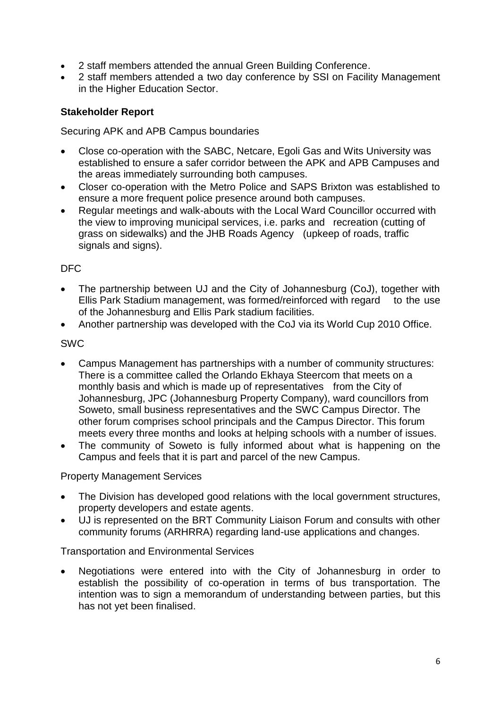- 2 staff members attended the annual Green Building Conference.
- 2 staff members attended a two day conference by SSI on Facility Management in the Higher Education Sector.

#### **Stakeholder Report**

Securing APK and APB Campus boundaries

- Close co-operation with the SABC, Netcare, Egoli Gas and Wits University was established to ensure a safer corridor between the APK and APB Campuses and the areas immediately surrounding both campuses.
- Closer co-operation with the Metro Police and SAPS Brixton was established to ensure a more frequent police presence around both campuses.
- Regular meetings and walk-abouts with the Local Ward Councillor occurred with the view to improving municipal services, i.e. parks and recreation (cutting of grass on sidewalks) and the JHB Roads Agency (upkeep of roads, traffic signals and signs).

## DFC

- The partnership between UJ and the City of Johannesburg (CoJ), together with Ellis Park Stadium management, was formed/reinforced with regard to the use of the Johannesburg and Ellis Park stadium facilities.
- Another partnership was developed with the CoJ via its World Cup 2010 Office.

#### SWC

- Campus Management has partnerships with a number of community structures: There is a committee called the Orlando Ekhaya Steercom that meets on a monthly basis and which is made up of representatives from the City of Johannesburg, JPC (Johannesburg Property Company), ward councillors from Soweto, small business representatives and the SWC Campus Director. The other forum comprises school principals and the Campus Director. This forum meets every three months and looks at helping schools with a number of issues.
- The community of Soweto is fully informed about what is happening on the Campus and feels that it is part and parcel of the new Campus.

#### Property Management Services

- The Division has developed good relations with the local government structures, property developers and estate agents.
- UJ is represented on the BRT Community Liaison Forum and consults with other community forums (ARHRRA) regarding land-use applications and changes.

#### Transportation and Environmental Services

 Negotiations were entered into with the City of Johannesburg in order to establish the possibility of co-operation in terms of bus transportation. The intention was to sign a memorandum of understanding between parties, but this has not yet been finalised.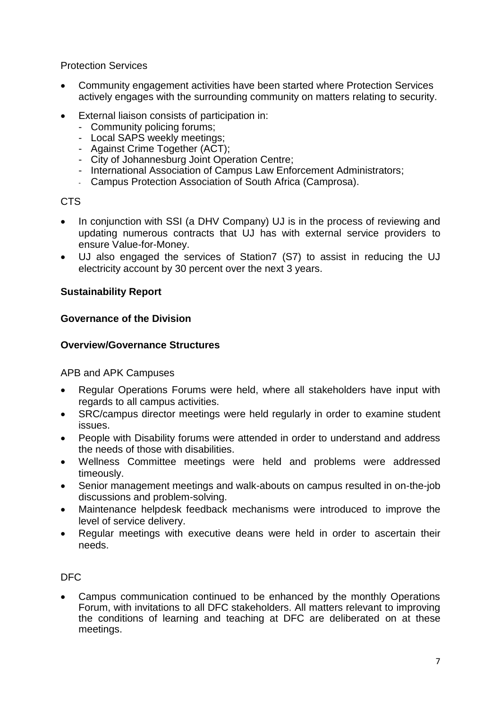Protection Services

- Community engagement activities have been started where Protection Services actively engages with the surrounding community on matters relating to security.
- External liaison consists of participation in:
	- Community policing forums;
	- Local SAPS weekly meetings;
	- Against Crime Together (ACT):
	- City of Johannesburg Joint Operation Centre;
	- International Association of Campus Law Enforcement Administrators;
	- Campus Protection Association of South Africa (Camprosa).

## CTS

- In conjunction with SSI (a DHV Company) UJ is in the process of reviewing and updating numerous contracts that UJ has with external service providers to ensure Value-for-Money.
- UJ also engaged the services of Station7 (S7) to assist in reducing the UJ electricity account by 30 percent over the next 3 years.

## **Sustainability Report**

## **Governance of the Division**

## **Overview/Governance Structures**

APB and APK Campuses

- Regular Operations Forums were held, where all stakeholders have input with regards to all campus activities.
- SRC/campus director meetings were held regularly in order to examine student issues.
- People with Disability forums were attended in order to understand and address the needs of those with disabilities.
- Wellness Committee meetings were held and problems were addressed timeously.
- Senior management meetings and walk-abouts on campus resulted in on-the-job discussions and problem-solving.
- Maintenance helpdesk feedback mechanisms were introduced to improve the level of service delivery.
- Regular meetings with executive deans were held in order to ascertain their needs.

## DFC

 Campus communication continued to be enhanced by the monthly Operations Forum, with invitations to all DFC stakeholders. All matters relevant to improving the conditions of learning and teaching at DFC are deliberated on at these meetings.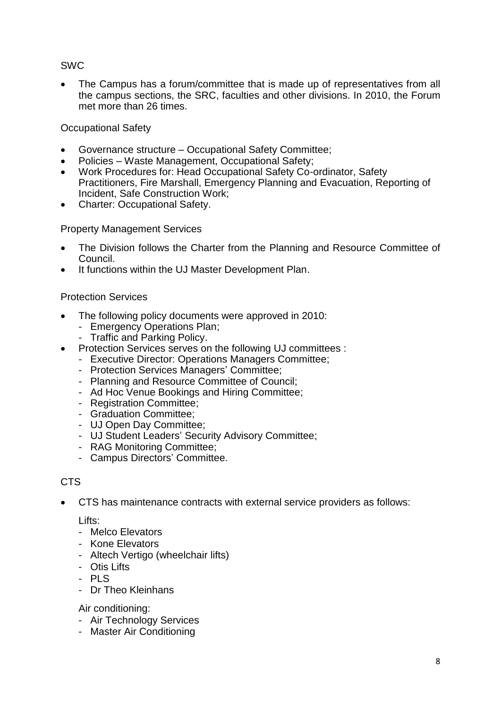# SWC

 The Campus has a forum/committee that is made up of representatives from all the campus sections, the SRC, faculties and other divisions. In 2010, the Forum met more than 26 times.

## Occupational Safety

- Governance structure Occupational Safety Committee;
- Policies Waste Management, Occupational Safety;
- Work Procedures for: Head Occupational Safety Co-ordinator, Safety Practitioners, Fire Marshall, Emergency Planning and Evacuation, Reporting of Incident, Safe Construction Work;
- Charter: Occupational Safety.

## Property Management Services

- The Division follows the Charter from the Planning and Resource Committee of Council.
- It functions within the UJ Master Development Plan.

## Protection Services

- The following policy documents were approved in 2010:
	- Emergency Operations Plan;
	- Traffic and Parking Policy.
- Protection Services serves on the following UJ committees :
	- Executive Director: Operations Managers Committee;
	- Protection Services Managers' Committee;
	- Planning and Resource Committee of Council;
	- Ad Hoc Venue Bookings and Hiring Committee;
	- Registration Committee;
	- Graduation Committee;
	- UJ Open Day Committee;
	- UJ Student Leaders' Security Advisory Committee;
	- RAG Monitoring Committee;
	- Campus Directors' Committee.

## CTS

CTS has maintenance contracts with external service providers as follows:

Lifts:

- Melco Elevators
- Kone Elevators
- Altech Vertigo (wheelchair lifts)
- Otis Lifts
- $-$  PLS
- Dr Theo Kleinhans

#### Air conditioning:

- Air Technology Services
- Master Air Conditioning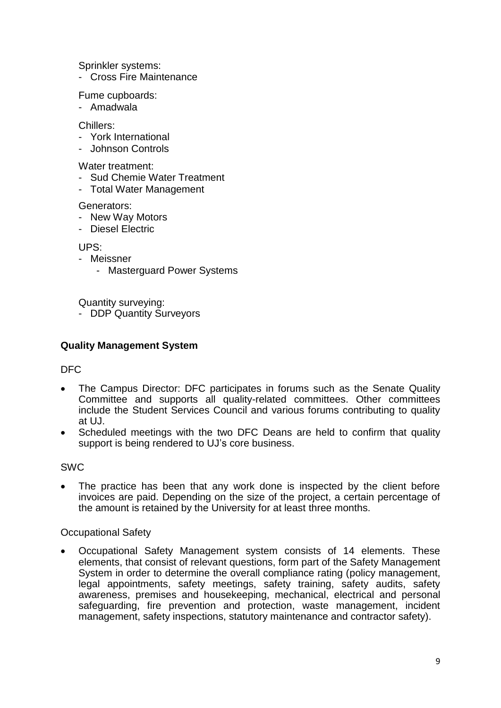Sprinkler systems:

- Cross Fire Maintenance

Fume cupboards:

- Amadwala

Chillers:

- York International
- Johnson Controls

Water treatment:

- Sud Chemie Water Treatment
- Total Water Management

Generators:

- New Way Motors
- Diesel Electric

UPS:

- Meissner
	- Masterguard Power Systems

Quantity surveying:

- DDP Quantity Surveyors

#### **Quality Management System**

#### DFC

- The Campus Director: DFC participates in forums such as the Senate Quality Committee and supports all quality-related committees. Other committees include the Student Services Council and various forums contributing to quality at UJ.
- Scheduled meetings with the two DFC Deans are held to confirm that quality support is being rendered to UJ's core business.

#### SWC

 The practice has been that any work done is inspected by the client before invoices are paid. Depending on the size of the project, a certain percentage of the amount is retained by the University for at least three months.

#### Occupational Safety

 Occupational Safety Management system consists of 14 elements. These elements, that consist of relevant questions, form part of the Safety Management System in order to determine the overall compliance rating (policy management, legal appointments, safety meetings, safety training, safety audits, safety awareness, premises and housekeeping, mechanical, electrical and personal safeguarding, fire prevention and protection, waste management, incident management, safety inspections, statutory maintenance and contractor safety).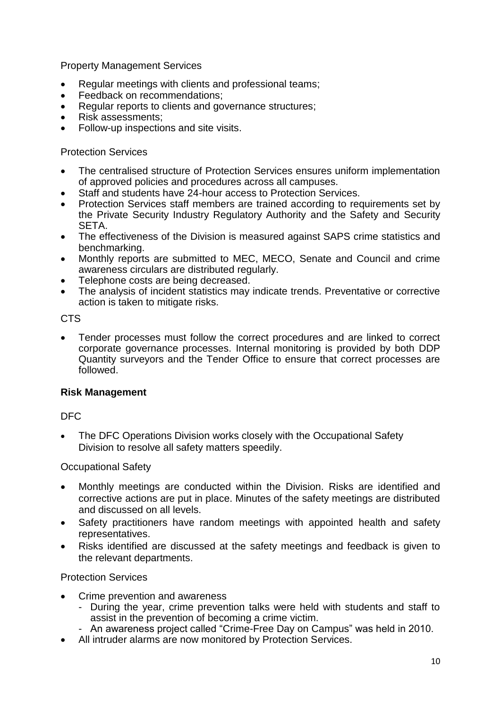Property Management Services

- Regular meetings with clients and professional teams;
- Feedback on recommendations;
- Regular reports to clients and governance structures;
- Risk assessments;
- Follow-up inspections and site visits.

#### Protection Services

- The centralised structure of Protection Services ensures uniform implementation of approved policies and procedures across all campuses.
- Staff and students have 24-hour access to Protection Services.
- Protection Services staff members are trained according to requirements set by the Private Security Industry Regulatory Authority and the Safety and Security SETA.
- The effectiveness of the Division is measured against SAPS crime statistics and benchmarking.
- Monthly reports are submitted to MEC, MECO, Senate and Council and crime awareness circulars are distributed regularly.
- Telephone costs are being decreased.
- The analysis of incident statistics may indicate trends. Preventative or corrective action is taken to mitigate risks.

## CTS

 Tender processes must follow the correct procedures and are linked to correct corporate governance processes. Internal monitoring is provided by both DDP Quantity surveyors and the Tender Office to ensure that correct processes are followed.

## **Risk Management**

## DFC

 The DFC Operations Division works closely with the Occupational Safety Division to resolve all safety matters speedily.

#### Occupational Safety

- Monthly meetings are conducted within the Division. Risks are identified and corrective actions are put in place. Minutes of the safety meetings are distributed and discussed on all levels.
- Safety practitioners have random meetings with appointed health and safety representatives.
- Risks identified are discussed at the safety meetings and feedback is given to the relevant departments.

## Protection Services

- Crime prevention and awareness
	- During the year, crime prevention talks were held with students and staff to assist in the prevention of becoming a crime victim.
	- An awareness project called "Crime-Free Day on Campus" was held in 2010.
- All intruder alarms are now monitored by Protection Services.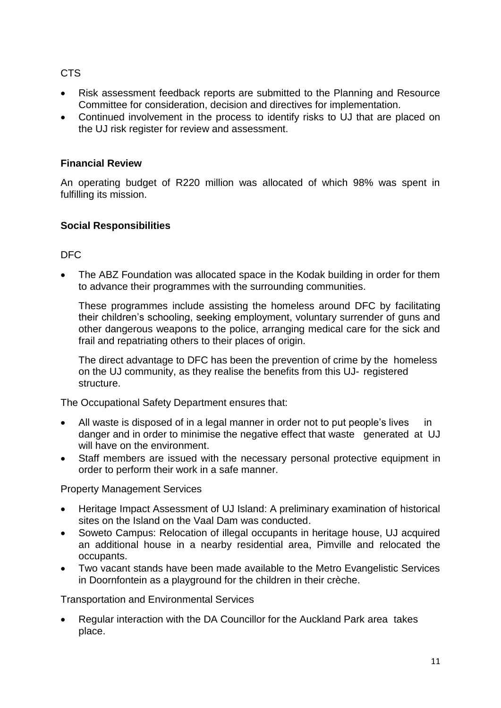# CTS

- Risk assessment feedback reports are submitted to the Planning and Resource Committee for consideration, decision and directives for implementation.
- Continued involvement in the process to identify risks to UJ that are placed on the UJ risk register for review and assessment.

## **Financial Review**

An operating budget of R220 million was allocated of which 98% was spent in fulfilling its mission.

## **Social Responsibilities**

# DFC

 The ABZ Foundation was allocated space in the Kodak building in order for them to advance their programmes with the surrounding communities.

These programmes include assisting the homeless around DFC by facilitating their children's schooling, seeking employment, voluntary surrender of guns and other dangerous weapons to the police, arranging medical care for the sick and frail and repatriating others to their places of origin.

The direct advantage to DFC has been the prevention of crime by the homeless on the UJ community, as they realise the benefits from this UJ- registered structure.

The Occupational Safety Department ensures that:

- All waste is disposed of in a legal manner in order not to put people's lives in danger and in order to minimise the negative effect that waste generated at UJ will have on the environment.
- Staff members are issued with the necessary personal protective equipment in order to perform their work in a safe manner.

Property Management Services

- Heritage Impact Assessment of UJ Island: A preliminary examination of historical sites on the Island on the Vaal Dam was conducted.
- Soweto Campus: Relocation of illegal occupants in heritage house, UJ acquired an additional house in a nearby residential area, Pimville and relocated the occupants.
- Two vacant stands have been made available to the Metro Evangelistic Services in Doornfontein as a playground for the children in their crèche.

Transportation and Environmental Services

 Regular interaction with the DA Councillor for the Auckland Park area takes place.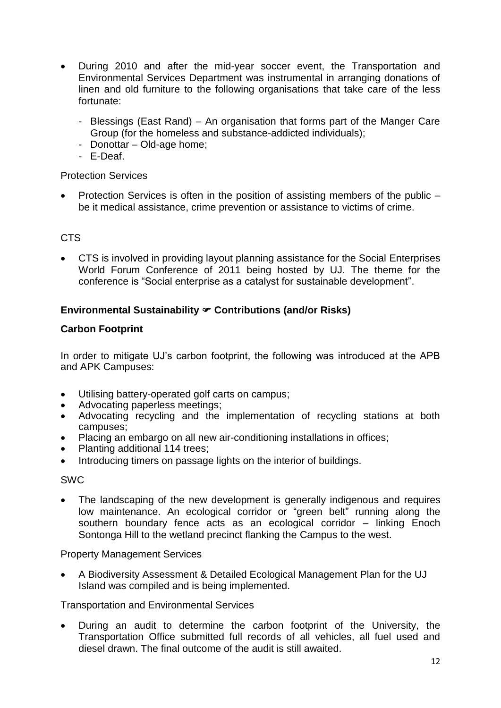- During 2010 and after the mid-year soccer event, the Transportation and Environmental Services Department was instrumental in arranging donations of linen and old furniture to the following organisations that take care of the less fortunate:
	- Blessings (East Rand) An organisation that forms part of the Manger Care Group (for the homeless and substance-addicted individuals);
	- Donottar Old-age home;
	- E-Deaf.

## Protection Services

 Protection Services is often in the position of assisting members of the public – be it medical assistance, crime prevention or assistance to victims of crime.

# C<sub>TS</sub>

 CTS is involved in providing layout planning assistance for the Social Enterprises World Forum Conference of 2011 being hosted by UJ. The theme for the conference is "Social enterprise as a catalyst for sustainable development".

# **Environmental Sustainability**  $\infty$  **Contributions (and/or Risks)**

## **Carbon Footprint**

In order to mitigate UJ's carbon footprint, the following was introduced at the APB and APK Campuses:

- Utilising battery-operated golf carts on campus;
- Advocating paperless meetings;
- Advocating recycling and the implementation of recycling stations at both campuses;
- Placing an embargo on all new air-conditioning installations in offices;
- Planting additional 114 trees;
- Introducing timers on passage lights on the interior of buildings.

#### SWC

 The landscaping of the new development is generally indigenous and requires low maintenance. An ecological corridor or "green belt" running along the southern boundary fence acts as an ecological corridor – linking Enoch Sontonga Hill to the wetland precinct flanking the Campus to the west.

#### Property Management Services

 A Biodiversity Assessment & Detailed Ecological Management Plan for the UJ Island was compiled and is being implemented.

#### Transportation and Environmental Services

 During an audit to determine the carbon footprint of the University, the Transportation Office submitted full records of all vehicles, all fuel used and diesel drawn. The final outcome of the audit is still awaited.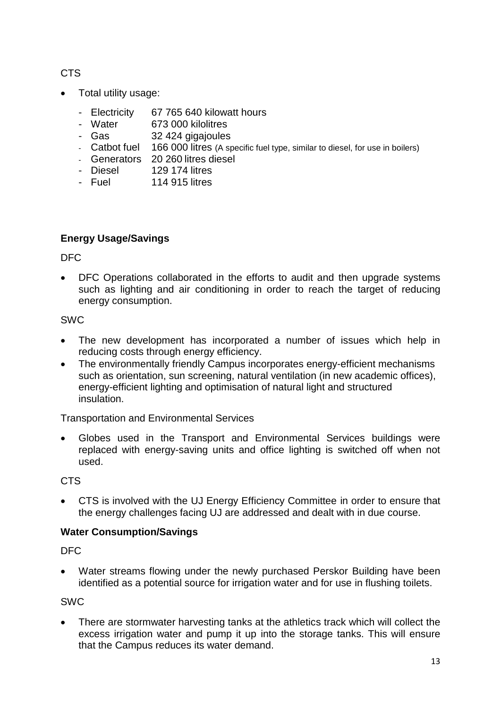CTS

- Total utility usage:
	- Electricity 67 765 640 kilowatt hours
	- Water 673 000 kilolitres
	- Gas 32 424 gigajoules
	- Catbot fuel 166 000 litres (A specific fuel type, similar to diesel, for use in boilers)
	- Generators 20 260 litres diesel
	- Diesel 129 174 litres
	- Fuel 114 915 litres

# **Energy Usage/Savings**

DFC

 DFC Operations collaborated in the efforts to audit and then upgrade systems such as lighting and air conditioning in order to reach the target of reducing energy consumption.

# SWC

- The new development has incorporated a number of issues which help in reducing costs through energy efficiency.
- The environmentally friendly Campus incorporates energy-efficient mechanisms such as orientation, sun screening, natural ventilation (in new academic offices), energy-efficient lighting and optimisation of natural light and structured insulation.

Transportation and Environmental Services

 Globes used in the Transport and Environmental Services buildings were replaced with energy-saving units and office lighting is switched off when not used.

# CTS

 CTS is involved with the UJ Energy Efficiency Committee in order to ensure that the energy challenges facing UJ are addressed and dealt with in due course.

# **Water Consumption/Savings**

DFC

 Water streams flowing under the newly purchased Perskor Building have been identified as a potential source for irrigation water and for use in flushing toilets.

SWC

 There are stormwater harvesting tanks at the athletics track which will collect the excess irrigation water and pump it up into the storage tanks. This will ensure that the Campus reduces its water demand.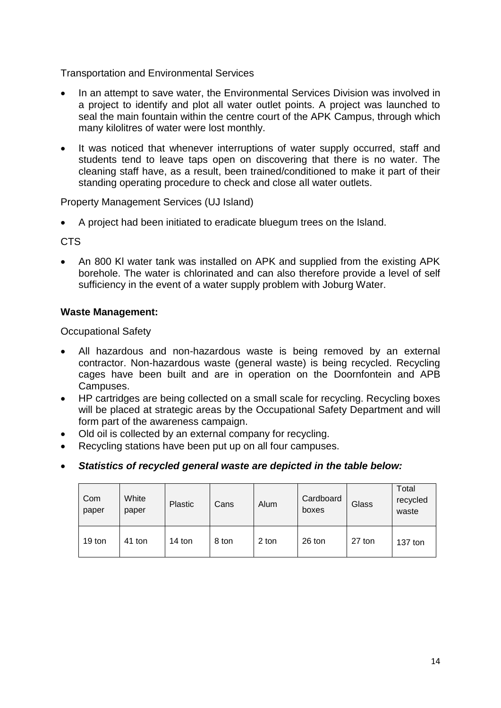Transportation and Environmental Services

- In an attempt to save water, the Environmental Services Division was involved in a project to identify and plot all water outlet points. A project was launched to seal the main fountain within the centre court of the APK Campus, through which many kilolitres of water were lost monthly.
- It was noticed that whenever interruptions of water supply occurred, staff and students tend to leave taps open on discovering that there is no water. The cleaning staff have, as a result, been trained/conditioned to make it part of their standing operating procedure to check and close all water outlets.

Property Management Services (UJ Island)

A project had been initiated to eradicate bluegum trees on the Island.

CTS

 An 800 Kl water tank was installed on APK and supplied from the existing APK borehole. The water is chlorinated and can also therefore provide a level of self sufficiency in the event of a water supply problem with Joburg Water.

## **Waste Management:**

Occupational Safety

- All hazardous and non-hazardous waste is being removed by an external contractor. Non-hazardous waste (general waste) is being recycled. Recycling cages have been built and are in operation on the Doornfontein and APB Campuses.
- HP cartridges are being collected on a small scale for recycling. Recycling boxes will be placed at strategic areas by the Occupational Safety Department and will form part of the awareness campaign.
- Old oil is collected by an external company for recycling.
- Recycling stations have been put up on all four campuses.
- *Statistics of recycled general waste are depicted in the table below:*

| Com<br>paper | White<br>paper | <b>Plastic</b> | Cans  | Alum  | Cardboard<br>boxes | Glass  | Total<br>recycled<br>waste |
|--------------|----------------|----------------|-------|-------|--------------------|--------|----------------------------|
| 19 ton       | 41 ton         | 14 ton         | 8 ton | 2 ton | 26 ton             | 27 ton | $137$ ton                  |